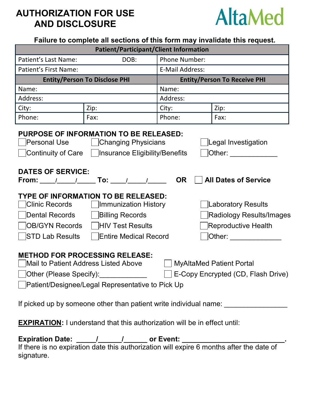## **AUTHORIZATION FOR USE AND DISCLOSURE**



| <b>Patient/Participant/Client Information</b>                                                                                                                                                                                                                                                                                                                                                                                                                                                                                                                                                                                                                                                                                                                                                                                                                                                                                                                                                                  |      |                                     |      |  |
|----------------------------------------------------------------------------------------------------------------------------------------------------------------------------------------------------------------------------------------------------------------------------------------------------------------------------------------------------------------------------------------------------------------------------------------------------------------------------------------------------------------------------------------------------------------------------------------------------------------------------------------------------------------------------------------------------------------------------------------------------------------------------------------------------------------------------------------------------------------------------------------------------------------------------------------------------------------------------------------------------------------|------|-------------------------------------|------|--|
| Patient's Last Name:<br>DOB:                                                                                                                                                                                                                                                                                                                                                                                                                                                                                                                                                                                                                                                                                                                                                                                                                                                                                                                                                                                   |      | <b>Phone Number:</b>                |      |  |
| <b>Patient's First Name:</b>                                                                                                                                                                                                                                                                                                                                                                                                                                                                                                                                                                                                                                                                                                                                                                                                                                                                                                                                                                                   |      | <b>E-Mail Address:</b>              |      |  |
| <b>Entity/Person To Disclose PHI</b>                                                                                                                                                                                                                                                                                                                                                                                                                                                                                                                                                                                                                                                                                                                                                                                                                                                                                                                                                                           |      | <b>Entity/Person To Receive PHI</b> |      |  |
| Name:                                                                                                                                                                                                                                                                                                                                                                                                                                                                                                                                                                                                                                                                                                                                                                                                                                                                                                                                                                                                          |      | Name:                               |      |  |
| Address:                                                                                                                                                                                                                                                                                                                                                                                                                                                                                                                                                                                                                                                                                                                                                                                                                                                                                                                                                                                                       |      | Address:                            |      |  |
| City:                                                                                                                                                                                                                                                                                                                                                                                                                                                                                                                                                                                                                                                                                                                                                                                                                                                                                                                                                                                                          | Zip: | City:                               | Zip: |  |
| Phone:                                                                                                                                                                                                                                                                                                                                                                                                                                                                                                                                                                                                                                                                                                                                                                                                                                                                                                                                                                                                         | Fax: | Phone:                              | Fax: |  |
| PURPOSE OF INFORMATION TO BE RELEASED:<br>Personal Use   Changing Physicians<br>Legal Investigation<br>$\Box$ Continuity of Care $\Box$ Insurance Eligibility/Benefits<br>Other: and the state of the state of the state of the state of the state of the state of the state of the state of the state of the state of the state of the state of the state of the state of the state of the state of the<br><b>DATES OF SERVICE:</b><br>From: _____/______/______ To: _____/______/_____<br><b>OR</b><br><b>All Dates of Service</b><br>TYPE OF INFORMATION TO BE RELEASED:<br>Clinic Records     Immunization History<br>Laboratory Results<br>Dental Records<br>  Billing Records<br>Radiology Results/Images<br><b>OB/GYN Records</b>   HIV Test Results<br><b>Reproductive Health</b><br>STD Lab Results<br><b>Entire Medical Record</b><br>$\hbox{\rlap{$\sqcup$}}$ Other: __________<br><b>METHOD FOR PROCESSING RELEASE:</b><br>Mail to Patient Address Listed Above<br><b>MyAltaMed Patient Portal</b> |      |                                     |      |  |
| E-Copy Encrypted (CD, Flash Drive)<br>]Other (Please Specify):_____________<br>Patient/Designee/Legal Representative to Pick Up                                                                                                                                                                                                                                                                                                                                                                                                                                                                                                                                                                                                                                                                                                                                                                                                                                                                                |      |                                     |      |  |
| If picked up by someone other than patient write individual name:                                                                                                                                                                                                                                                                                                                                                                                                                                                                                                                                                                                                                                                                                                                                                                                                                                                                                                                                              |      |                                     |      |  |

**EXPIRATION:** I understand that this authorization will be in effect until:

Expiration Date: \_\_\_\_\_/\_\_\_\_\_\_/\_\_\_\_\_\_\_\_ or Event: \_\_\_\_\_\_\_ If there is no expiration date this authorization will expire 6 months after the date of signature.